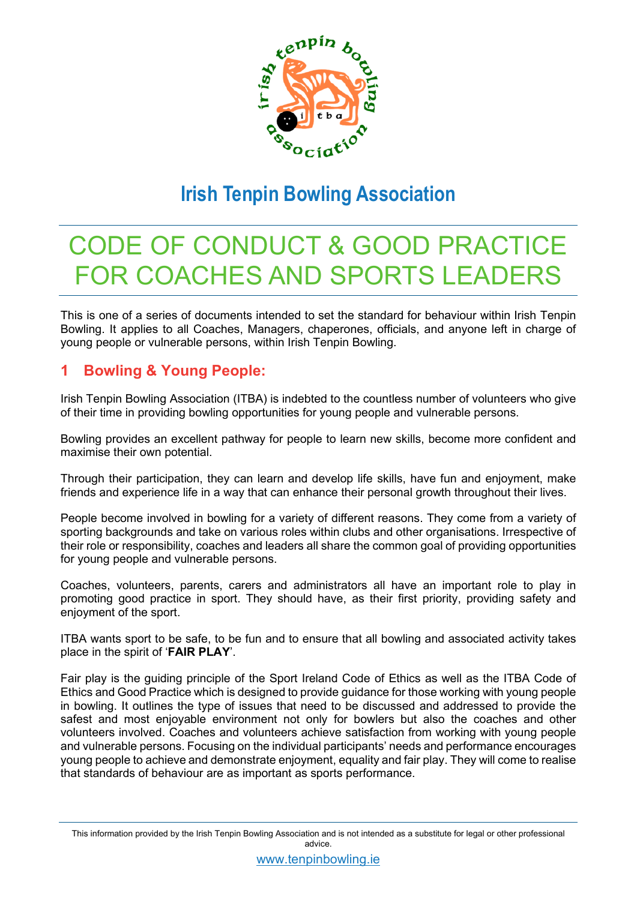

## **Irish Tenpin Bowling Association**

# CODE OF CONDUCT & GOOD PRACTICE FOR COACHES AND SPORTS LEADERS

This is one of a series of documents intended to set the standard for behaviour within Irish Tenpin Bowling. It applies to all Coaches, Managers, chaperones, officials, and anyone left in charge of young people or vulnerable persons, within Irish Tenpin Bowling.

### **1 Bowling & Young People:**

Irish Tenpin Bowling Association (ITBA) is indebted to the countless number of volunteers who give of their time in providing bowling opportunities for young people and vulnerable persons.

Bowling provides an excellent pathway for people to learn new skills, become more confident and maximise their own potential.

Through their participation, they can learn and develop life skills, have fun and enjoyment, make friends and experience life in a way that can enhance their personal growth throughout their lives.

People become involved in bowling for a variety of different reasons. They come from a variety of sporting backgrounds and take on various roles within clubs and other organisations. Irrespective of their role or responsibility, coaches and leaders all share the common goal of providing opportunities for young people and vulnerable persons.

Coaches, volunteers, parents, carers and administrators all have an important role to play in promoting good practice in sport. They should have, as their first priority, providing safety and enjoyment of the sport.

ITBA wants sport to be safe, to be fun and to ensure that all bowling and associated activity takes place in the spirit of '**FAIR PLAY**'.

Fair play is the guiding principle of the Sport Ireland Code of Ethics as well as the ITBA Code of Ethics and Good Practice which is designed to provide guidance for those working with young people in bowling. It outlines the type of issues that need to be discussed and addressed to provide the safest and most enjoyable environment not only for bowlers but also the coaches and other volunteers involved. Coaches and volunteers achieve satisfaction from working with young people and vulnerable persons. Focusing on the individual participants' needs and performance encourages young people to achieve and demonstrate enjoyment, equality and fair play. They will come to realise that standards of behaviour are as important as sports performance.

This information provided by the Irish Tenpin Bowling Association and is not intended as a substitute for legal or other professional advice.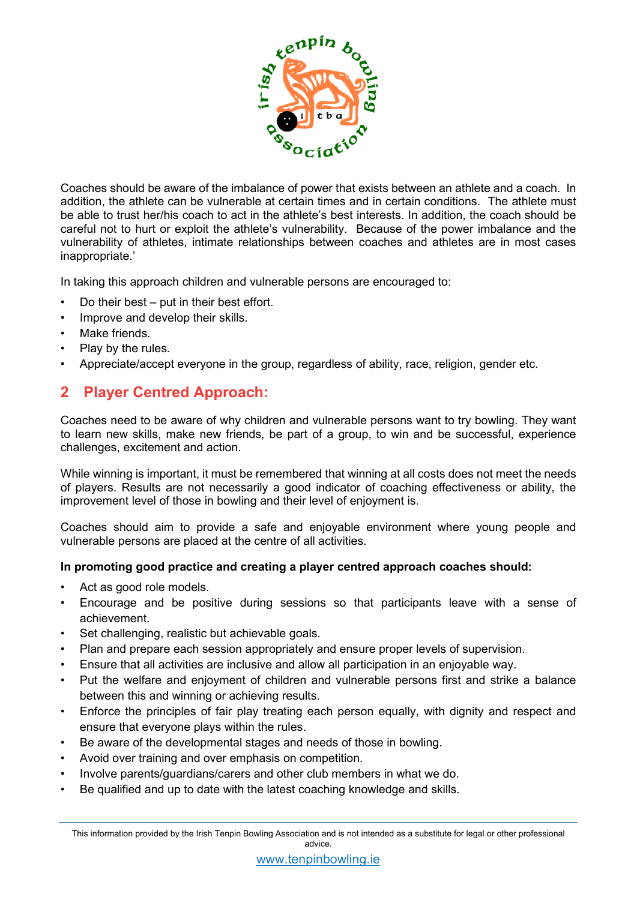

Coaches should be aware of the imbalance of power that exists between an athlete and a coach. In addition, the athlete can be vulnerable at certain times and in certain conditions. The athlete must be able to trust her/his coach to act in the athlete's best interests. In addition, the coach should be careful not to hurt or exploit the athlete's vulnerability. Because of the power imbalance and the vulnerability of athletes, intimate relationships between coaches and athletes are in most cases inappropriate.'

In taking this approach children and vulnerable persons are encouraged to:

- Do their best put in their best effort.
- Improve and develop their skills.
- Make friends.
- Play by the rules.
- Appreciate/accept everyone in the group, regardless of ability, race, religion, gender etc.

### **2 Player Centred Approach:**

Coaches need to be aware of why children and vulnerable persons want to try bowling. They want to learn new skills, make new friends, be part of a group, to win and be successful, experience challenges, excitement and action.

While winning is important, it must be remembered that winning at all costs does not meet the needs of players. Results are not necessarily a good indicator of coaching effectiveness or ability, the improvement level of those in bowling and their level of enjoyment is.

Coaches should aim to provide a safe and enjoyable environment where young people and vulnerable persons are placed at the centre of all activities.

### **In promoting good practice and creating a player centred approach coaches should:**

- Act as good role models.
- Encourage and be positive during sessions so that participants leave with a sense of achievement.
- Set challenging, realistic but achievable goals.
- Plan and prepare each session appropriately and ensure proper levels of supervision.
- Ensure that all activities are inclusive and allow all participation in an enjoyable way.
- Put the welfare and enjoyment of children and vulnerable persons first and strike a balance between this and winning or achieving results.
- Enforce the principles of fair play treating each person equally, with dignity and respect and ensure that everyone plays within the rules.
- Be aware of the developmental stages and needs of those in bowling.
- Avoid over training and over emphasis on competition.
- Involve parents/guardians/carers and other club members in what we do.
- Be qualified and up to date with the latest coaching knowledge and skills.

This information provided by the Irish Tenpin Bowling Association and is not intended as a substitute for legal or other professional advice.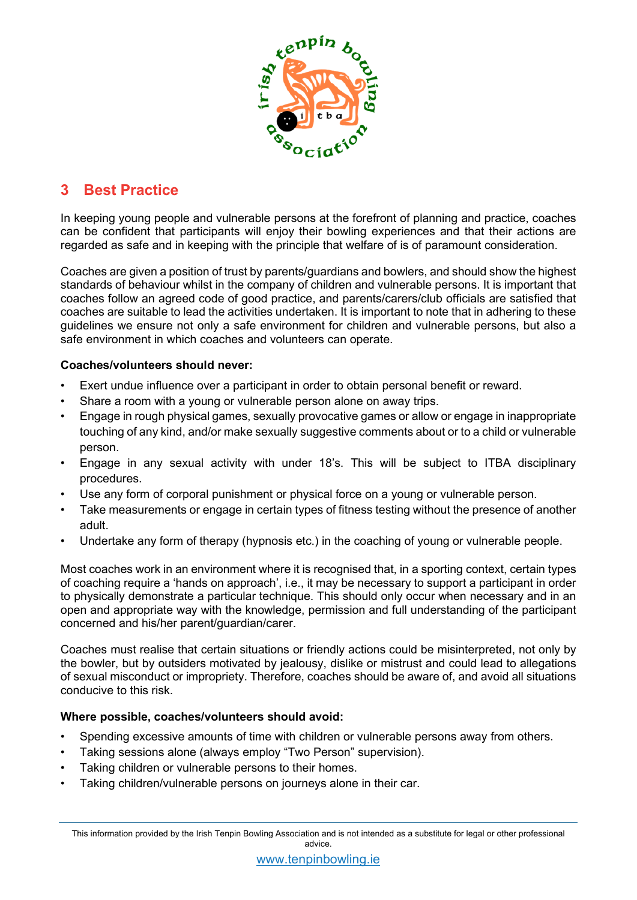

### **3 Best Practice**

In keeping young people and vulnerable persons at the forefront of planning and practice, coaches can be confident that participants will enjoy their bowling experiences and that their actions are regarded as safe and in keeping with the principle that welfare of is of paramount consideration.

Coaches are given a position of trust by parents/guardians and bowlers, and should show the highest standards of behaviour whilst in the company of children and vulnerable persons. It is important that coaches follow an agreed code of good practice, and parents/carers/club officials are satisfied that coaches are suitable to lead the activities undertaken. It is important to note that in adhering to these guidelines we ensure not only a safe environment for children and vulnerable persons, but also a safe environment in which coaches and volunteers can operate.

#### **Coaches/volunteers should never:**

- Exert undue influence over a participant in order to obtain personal benefit or reward.
- Share a room with a young or vulnerable person alone on away trips.
- Engage in rough physical games, sexually provocative games or allow or engage in inappropriate touching of any kind, and/or make sexually suggestive comments about or to a child or vulnerable person.
- Engage in any sexual activity with under 18's. This will be subject to ITBA disciplinary procedures.
- Use any form of corporal punishment or physical force on a young or vulnerable person.
- Take measurements or engage in certain types of fitness testing without the presence of another adult.
- Undertake any form of therapy (hypnosis etc.) in the coaching of young or vulnerable people.

Most coaches work in an environment where it is recognised that, in a sporting context, certain types of coaching require a 'hands on approach', i.e., it may be necessary to support a participant in order to physically demonstrate a particular technique. This should only occur when necessary and in an open and appropriate way with the knowledge, permission and full understanding of the participant concerned and his/her parent/guardian/carer.

Coaches must realise that certain situations or friendly actions could be misinterpreted, not only by the bowler, but by outsiders motivated by jealousy, dislike or mistrust and could lead to allegations of sexual misconduct or impropriety. Therefore, coaches should be aware of, and avoid all situations conducive to this risk.

### **Where possible, coaches/volunteers should avoid:**

- Spending excessive amounts of time with children or vulnerable persons away from others.
- Taking sessions alone (always employ "Two Person" supervision).
- Taking children or vulnerable persons to their homes.
- Taking children/vulnerable persons on journeys alone in their car.

This information provided by the Irish Tenpin Bowling Association and is not intended as a substitute for legal or other professional advice.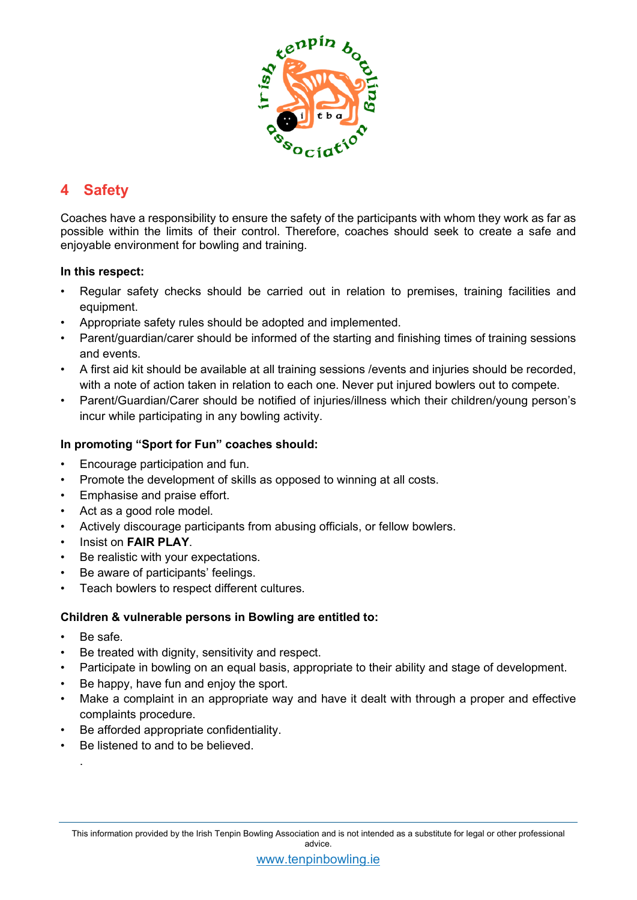

### **4 Safety**

Coaches have a responsibility to ensure the safety of the participants with whom they work as far as possible within the limits of their control. Therefore, coaches should seek to create a safe and enjoyable environment for bowling and training.

#### **In this respect:**

- Regular safety checks should be carried out in relation to premises, training facilities and equipment.
- Appropriate safety rules should be adopted and implemented.
- Parent/guardian/carer should be informed of the starting and finishing times of training sessions and events.
- A first aid kit should be available at all training sessions /events and injuries should be recorded, with a note of action taken in relation to each one. Never put injured bowlers out to compete.
- Parent/Guardian/Carer should be notified of injuries/illness which their children/young person's incur while participating in any bowling activity.

### **In promoting "Sport for Fun" coaches should:**

- Encourage participation and fun.
- Promote the development of skills as opposed to winning at all costs.
- Emphasise and praise effort.
- Act as a good role model.
- Actively discourage participants from abusing officials, or fellow bowlers.
- Insist on **FAIR PLAY**.
- Be realistic with your expectations.
- Be aware of participants' feelings.
- Teach bowlers to respect different cultures.

### **Children & vulnerable persons in Bowling are entitled to:**

Be safe.

.

- Be treated with dignity, sensitivity and respect.
- Participate in bowling on an equal basis, appropriate to their ability and stage of development.
- Be happy, have fun and enjoy the sport.
- Make a complaint in an appropriate way and have it dealt with through a proper and effective complaints procedure.
- Be afforded appropriate confidentiality.
- Be listened to and to be believed.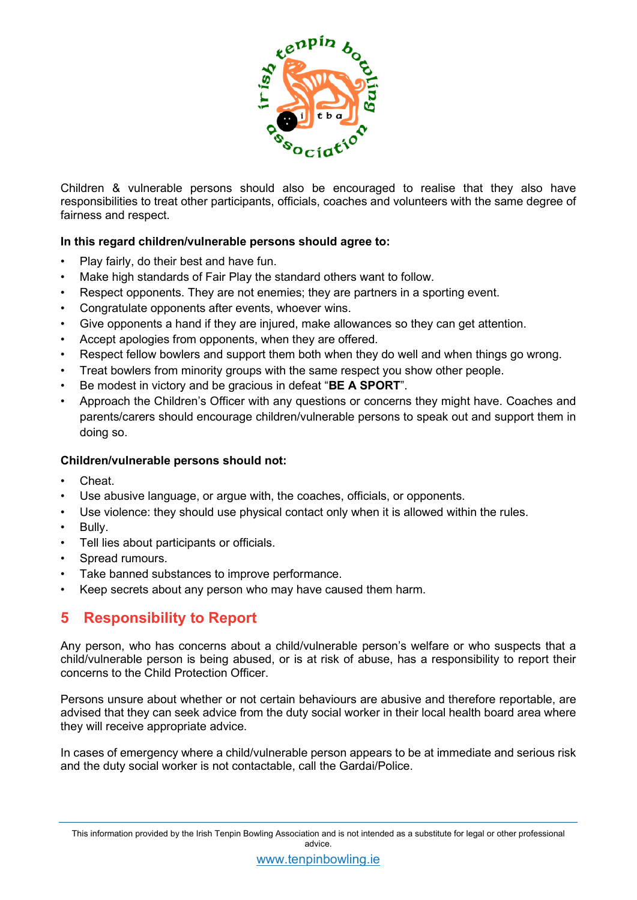

Children & vulnerable persons should also be encouraged to realise that they also have responsibilities to treat other participants, officials, coaches and volunteers with the same degree of fairness and respect.

#### **In this regard children/vulnerable persons should agree to:**

- Play fairly, do their best and have fun.
- Make high standards of Fair Play the standard others want to follow.
- Respect opponents. They are not enemies; they are partners in a sporting event.
- Congratulate opponents after events, whoever wins.
- Give opponents a hand if they are injured, make allowances so they can get attention.
- Accept apologies from opponents, when they are offered.
- Respect fellow bowlers and support them both when they do well and when things go wrong.
- Treat bowlers from minority groups with the same respect you show other people.
- Be modest in victory and be gracious in defeat "**BE A SPORT**".
- Approach the Children's Officer with any questions or concerns they might have. Coaches and parents/carers should encourage children/vulnerable persons to speak out and support them in doing so.

#### **Children/vulnerable persons should not:**

- Cheat.
- Use abusive language, or argue with, the coaches, officials, or opponents.
- Use violence: they should use physical contact only when it is allowed within the rules.
- Bully.
- Tell lies about participants or officials.
- Spread rumours.
- Take banned substances to improve performance.
- Keep secrets about any person who may have caused them harm.

### **5 Responsibility to Report**

Any person, who has concerns about a child/vulnerable person's welfare or who suspects that a child/vulnerable person is being abused, or is at risk of abuse, has a responsibility to report their concerns to the Child Protection Officer.

Persons unsure about whether or not certain behaviours are abusive and therefore reportable, are advised that they can seek advice from the duty social worker in their local health board area where they will receive appropriate advice.

In cases of emergency where a child/vulnerable person appears to be at immediate and serious risk and the duty social worker is not contactable, call the Gardai/Police.

This information provided by the Irish Tenpin Bowling Association and is not intended as a substitute for legal or other professional advice.